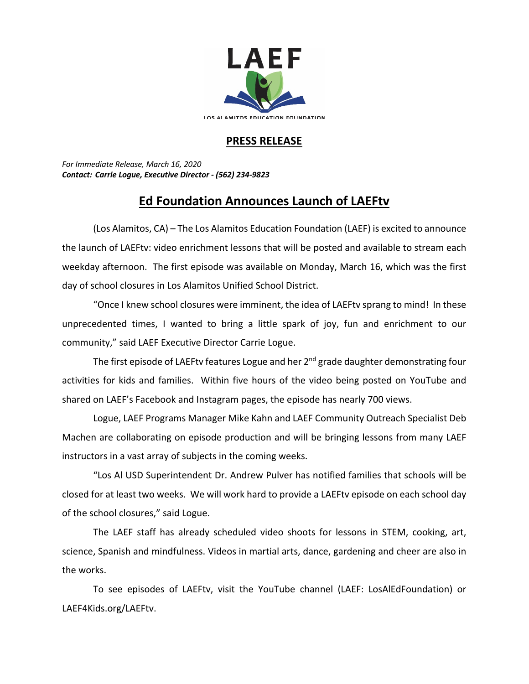

## **PRESS RELEASE**

*For Immediate Release, March 16, 2020 Contact: Carrie Logue, Executive Director - (562) 234-9823*

## **Ed Foundation Announces Launch of LAEFtv**

(Los Alamitos, CA) – The Los Alamitos Education Foundation (LAEF) is excited to announce the launch of LAEFtv: video enrichment lessons that will be posted and available to stream each weekday afternoon. The first episode was available on Monday, March 16, which was the first day of school closures in Los Alamitos Unified School District.

"Once I knew school closures were imminent, the idea of LAEFtv sprang to mind! In these unprecedented times, I wanted to bring a little spark of joy, fun and enrichment to our community," said LAEF Executive Director Carrie Logue.

The first episode of LAEFty features Logue and her 2<sup>nd</sup> grade daughter demonstrating four activities for kids and families. Within five hours of the video being posted on YouTube and shared on LAEF's Facebook and Instagram pages, the episode has nearly 700 views.

Logue, LAEF Programs Manager Mike Kahn and LAEF Community Outreach Specialist Deb Machen are collaborating on episode production and will be bringing lessons from many LAEF instructors in a vast array of subjects in the coming weeks.

"Los Al USD Superintendent Dr. Andrew Pulver has notified families that schools will be closed for at least two weeks. We will work hard to provide a LAEFtv episode on each school day of the school closures," said Logue.

The LAEF staff has already scheduled video shoots for lessons in STEM, cooking, art, science, Spanish and mindfulness. Videos in martial arts, dance, gardening and cheer are also in the works.

To see episodes of LAEFtv, visit the YouTube channel (LAEF: LosAlEdFoundation) or LAEF4Kids.org/LAEFtv.